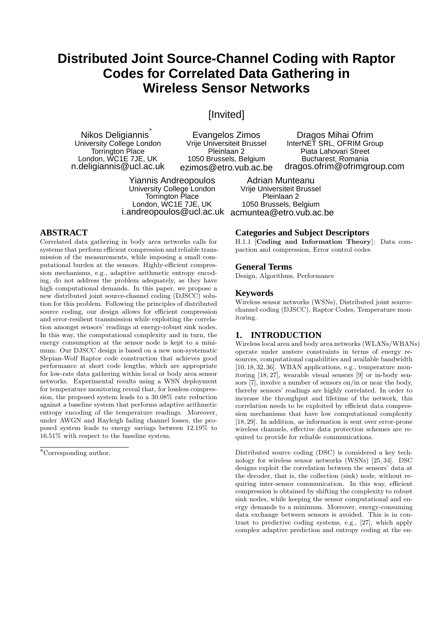# **Distributed Joint Source-Channel Coding with Raptor Codes for Correlated Data Gathering in Wireless Sensor Networks**

## [Invited]

Nikos Deligiannis<sup>∗</sup> University College London Torrington Place London, WC1E 7JE, UK n.deligiannis@ucl.ac.uk

Evangelos Zimos Vrije Universiteit Brussel Pleinlaan 2 1050 Brussels, Belgium ezimos@etro.vub.ac.be

Yiannis Andreopoulos University College London Torrington Place London, WC1E 7JE, UK i.andreopoulos@ucl.ac.uk acmuntea@etro.vub.ac.be

#### **ABSTRACT**

Correlated data gathering in body area networks calls for systems that perform efficient compression and reliable transmission of the measurements, while imposing a small computational burden at the sensors. Highly-efficient compression mechanisms, e.g., adaptive arithmetic entropy encoding, do not address the problem adequately, as they have high computational demands. In this paper, we propose a new distributed joint source-channel coding (DJSCC) solution for this problem. Following the principles of distributed source coding, our design allows for efficient compression and error-resilient transmission while exploiting the correlation amongst sensors' readings at energy-robust sink nodes. In this way, the computational complexity and in turn, the energy consumption at the sensor node is kept to a minimum. Our DJSCC design is based on a new non-systematic Slepian-Wolf Raptor code construction that achieves good performance at short code lengths, which are appropriate for low-rate data gathering within local or body area sensor networks. Experimental results using a WSN deployment for temperature monitoring reveal that, for lossless compression, the proposed system leads to a 30.08% rate reduction against a baseline system that performs adaptive arithmetic entropy encoding of the temperature readings. Moreover, under AWGN and Rayleigh fading channel losses, the proposed system leads to energy savings between 12.19% to 16.51% with respect to the baseline system.

**Categories and Subject Descriptors**

H.1.1 [Coding and Information Theory]: Data compaction and compression, Error control codes

Dragos Mihai Ofrim InterNET SRL, OFRIM Group Piata Lahovari Street Bucharest, Romania dragos.ofrim@ofrimgroup.com

#### **General Terms**

Design, Algorithms, Performance

Adrian Munteanu Vrije Universiteit Brussel Pleinlaan 2 1050 Brussels, Belgium

#### **Keywords**

Wireless sensor networks (WSNs), Distributed joint sourcechannel coding (DJSCC), Raptor Codes, Temperature monitoring.

#### **1. INTRODUCTION**

Wireless local area and body area networks (WLANs/WBANs) operate under austere constraints in terms of energy resources, computational capabilities and available bandwidth [10, 18, 32, 36]. WBAN applications, e.g., temperature monitoring [18, 27], wearable visual sensors [9] or in-body sensors [7], involve a number of sensors on/in or near the body, thereby sensors' readings are highly correlated. In order to increase the throughput and lifetime of the network, this correlation needs to be exploited by efficient data compression mechanisms that have low computational complexity [18, 29]. In addition, as information is sent over error-prone wireless channels, effective data protection schemes are required to provide for reliable communications.

Distributed source coding (DSC) is considered a key technology for wireless sensor networks (WSNs) [25, 34]. DSC designs exploit the correlation between the sensors' data at the decoder, that is, the collection (sink) node, without requiring inter-sensor communication. In this way, efficient compression is obtained by shifting the complexity to robust sink nodes, while keeping the sensor computational and energy demands to a minimum. Moreover, energy-consuming data exchange between sensors is avoided. This is in contrast to predictive coding systems, e.g., [27], which apply complex adaptive prediction and entropy coding at the en-

<sup>∗</sup>Corresponding author.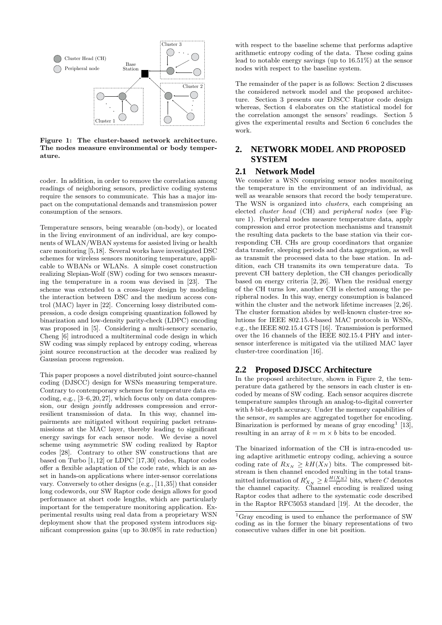

Figure 1: The cluster-based network architecture. The nodes measure environmental or body temperature.

coder. In addition, in order to remove the correlation among readings of neighboring sensors, predictive coding systems require the sensors to communicate. This has a major impact on the computational demands and transmission power consumption of the sensors.

Temperature sensors, being wearable (on-body), or located in the living environment of an individual, are key components of WLAN/WBAN systems for assisted living or health care monitoring [5,18]. Several works have investigated DSC schemes for wireless sensors monitoring temperature, applicable to WBANs or WLANs. A simple coset construction realizing Slepian-Wolf (SW) coding for two sensors measuring the temperature in a room was devised in [23]. The scheme was extended to a cross-layer design by modeling the interaction between DSC and the medium access control (MAC) layer in [22]. Concerning lossy distributed compression, a code design comprising quantization followed by binarization and low-density parity-check (LDPC) encoding was proposed in [5]. Considering a multi-sensory scenario, Cheng [6] introduced a multiterminal code design in which SW coding was simply replaced by entropy coding, whereas joint source reconstruction at the decoder was realized by Gaussian process regression.

This paper proposes a novel distributed joint source-channel coding (DJSCC) design for WSNs measuring temperature. Contrary to contemporary schemes for temperature data encoding, e.g., [3–6, 20, 27], which focus only on data compression, our design jointly addresses compression and errorresilient transmission of data. In this way, channel impairments are mitigated without requiring packet retransmissions at the MAC layer, thereby leading to significant energy savings for each sensor node. We devise a novel scheme using asymmetric SW coding realized by Raptor codes [28]. Contrary to other SW constructions that are based on Turbo [1,12] or LDPC [17,30] codes, Raptor codes offer a flexible adaptation of the code rate, which is an asset in hands-on applications where inter-sensor correlations vary. Conversely to other designs (e.g., [11,35]) that consider long codewords, our SW Raptor code design allows for good performance at short code lengths, which are particularly important for the temperature monitoring application. Experimental results using real data from a proprietary WSN deployment show that the proposed system introduces significant compression gains (up to 30.08% in rate reduction)

with respect to the baseline scheme that performs adaptive arithmetic entropy coding of the data. These coding gains lead to notable energy savings (up to 16.51%) at the sensor nodes with respect to the baseline system.

The remainder of the paper is as follows: Section 2 discusses the considered network model and the proposed architecture. Section 3 presents our DJSCC Raptor code design whereas, Section 4 elaborates on the statistical model for the correlation amongst the sensors' readings. Section 5 gives the experimental results and Section 6 concludes the work.

## **2. NETWORK MODEL AND PROPOSED SYSTEM**

#### **2.1 Network Model**

We consider a WSN comprising sensor nodes monitoring the temperature in the environment of an individual, as well as wearable sensors that record the body temperature. The WSN is organized into *clusters*, each comprising an elected cluster head (CH) and peripheral nodes (see Figure 1). Peripheral nodes measure temperature data, apply compression and error protection mechanisms and transmit the resulting data packets to the base station via their corresponding CH. CHs are group coordinators that organize data transfer, sleeping periods and data aggregation, as well as transmit the processed data to the base station. In addition, each CH transmits its own temperature data. To prevent CH battery depletion, the CH changes periodically based on energy criteria [2, 26]. When the residual energy of the CH turns low, another CH is elected among the peripheral nodes. In this way, energy consumption is balanced within the cluster and the network lifetime increases [2, 26]. The cluster formation abides by well-known cluster-tree solutions for IEEE 802.15.4-based MAC protocols in WSNs, e.g., the IEEE 802.15.4 GTS [16]. Transmission is performed over the 16 channels of the IEEE 802.15.4 PHY and intersensor interference is mitigated via the utilized MAC layer cluster-tree coordination [16].

#### **2.2 Proposed DJSCC Architecture**

In the proposed architecture, shown in Figure 2, the temperature data gathered by the sensors in each cluster is encoded by means of SW coding. Each sensor acquires discrete temperature samples through an analog-to-digital converter with b bit-depth accuracy. Under the memory capabilities of the sensor, m samples are aggregated together for encoding. Binarization is performed by means of gray encoding<sup>1</sup> [13], resulting in an array of  $k = m \times b$  bits to be encoded.

The binarized information of the CH is intra-encoded using adaptive arithmetic entropy coding, achieving a source coding rate of  $R_{X_N} \geq kH(X_N)$  bits. The compressed bitstream is then channel encoded resulting in the total transmitted information of  $R'_{X_N} \geq k \frac{H(X_N)}{C}$  bits, where C denotes the channel capacity. Channel encoding is realized using Raptor codes that adhere to the systematic code described in the Raptor RFC5053 standard [19]. At the decoder, the

<sup>1</sup>Gray encoding is used to enhance the performance of SW coding as in the former the binary representations of two consecutive values differ in one bit position.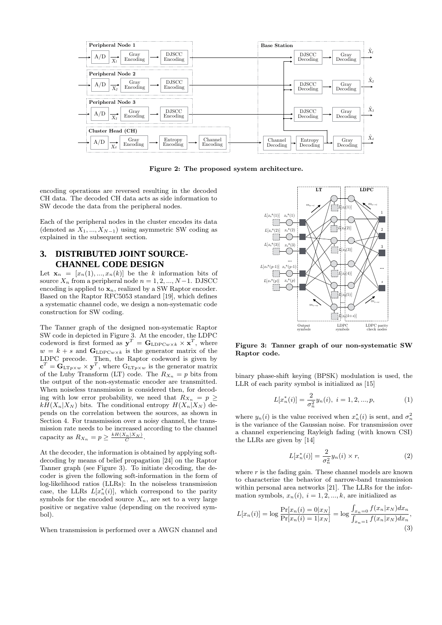

Figure 2: The proposed system architecture.

encoding operations are reversed resulting in the decoded CH data. The decoded CH data acts as side information to SW decode the data from the peripheral nodes.

Each of the peripheral nodes in the cluster encodes its data (denoted as  $X_1, ..., X_{N-1}$ ) using asymmetric SW coding as explained in the subsequent section.

#### **3. DISTRIBUTED JOINT SOURCE-CHANNEL CODE DESIGN**

Let  $\mathbf{x}_n = [x_n(1),...,x_n(k)]$  be the k information bits of source  $X_n$  from a peripheral node  $n = 1, 2, ..., N-1$ . DJSCC encoding is applied to  $\mathbf{x}_n$ , realized by a SW Raptor encoder. Based on the Raptor RFC5053 standard [19], which defines a systematic channel code, we design a non-systematic code construction for SW coding.

The Tanner graph of the designed non-systematic Raptor SW code in depicted in Figure 3. At the encoder, the LDPC codeword is first formed as  $y^T = G_{\text{LDPC}w \times k} \times x^T$ , where  $w = k + s$  and  $\mathbf{G}_{\text{LDPC}w \times k}$  is the generator matrix of the LDPC precode. Then, the Raptor codeword is given by  $\mathbf{c}^T = \mathbf{G}_{\text{LTp}\times w} \times \mathbf{y}^T$ , where  $\text{G}_{\text{LTp}\times w}$  is the generator matrix of the Luby Transform (LT) code. The  $Rx_n = p$  bits from the output of the non-systematic encoder are transmitted. When noiseless transmission is considered then, for decoding with low error probability, we need that  $R_{X_n} = p \geq$  $kH(X_n|X_N)$  bits. The conditional entropy  $H(X_n|X_N)$  depends on the correlation between the sources, as shown in Section 4. For transmission over a noisy channel, the transmission rate needs to be increased according to the channel capacity as  $R_{X_n} = p \geq \frac{kH(X_n|X_N)}{C}$ .

At the decoder, the information is obtained by applying softdecoding by means of belief propagation [24] on the Raptor Tanner graph (see Figure 3). To initiate decoding, the decoder is given the following soft-information in the form of log-likelihood ratios (LLRs): In the noiseless transmission case, the LLRs  $L[x_n^*(i)]$ , which correspond to the parity symbols for the encoded source  $X_n$ , are set to a very large positive or negative value (depending on the received symbol).

When transmission is performed over a AWGN channel and



Figure 3: Tanner graph of our non-systematic SW Raptor code.

binary phase-shift keying (BPSK) modulation is used, the LLR of each parity symbol is initialized as [15]

$$
L[x_n^*(i)] = \frac{2}{\sigma_n^2} y_n(i), \ i = 1, 2, ..., p,
$$
 (1)

where  $y_n(i)$  is the value received when  $x_n^*(i)$  is sent, and  $\sigma_n^2$ is the variance of the Gaussian noise. For transmission over a channel experiencing Rayleigh fading (with known CSI) the LLRs are given by [14]

$$
L[x_n^*(i)] = \frac{2}{\sigma_n^2} y_n(i) \times r,
$$
\n(2)

where  $r$  is the fading gain. These channel models are known to characterize the behavior of narrow-band transmission within personal area networks [21]. The LLRs for the information symbols,  $x_n(i)$ ,  $i = 1, 2, ..., k$ , are initialized as

$$
L[x_n(i)] = \log \frac{\Pr[x_n(i) = 0 | x_N]}{\Pr[x_n(i) = 1 | x_N]} = \log \frac{\int_{x_n=0} f(x_n | x_N) dx_n}{\int_{x_n=1} f(x_n | x_N) dx_n},\tag{3}
$$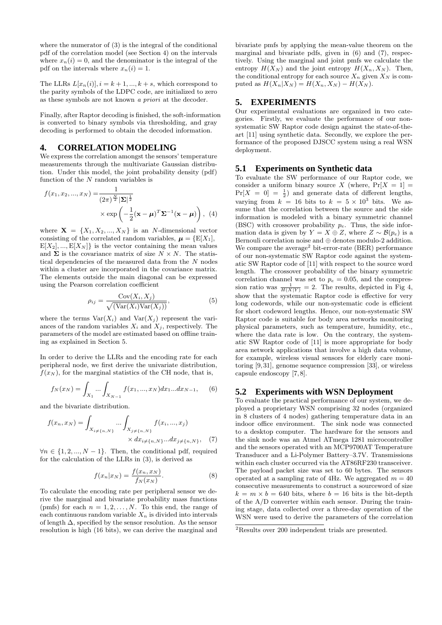where the numerator of (3) is the integral of the conditional pdf of the correlation model (see Section 4) on the intervals where  $x_n(i) = 0$ , and the denominator is the integral of the pdf on the intervals where  $x_n(i) = 1$ .

The LLRs  $L[x_n(i)], i = k+1, ..., k+s$ , which correspond to the parity symbols of the LDPC code, are initialized to zero as these symbols are not known a priori at the decoder.

Finally, after Raptor decoding is finished, the soft-information is converted to binary symbols via thresholding, and gray decoding is performed to obtain the decoded information.

#### **4. CORRELATION MODELING**

We express the correlation amongst the sensors' temperature measurements through the multivariate Gaussian distribution. Under this model, the joint probability density (pdf) function of the N random variables is

$$
f(x_1, x_2, ..., x_N) = \frac{1}{(2\pi)^{\frac{N}{2}} |\mathbf{\Sigma}|^{\frac{1}{2}}}
$$

$$
\times \exp\left(-\frac{1}{2}(\mathbf{x} - \boldsymbol{\mu})^T \mathbf{\Sigma}^{-1}(\mathbf{x} - \boldsymbol{\mu})\right), \quad (4)
$$

where  $X = \{X_1, X_2, ..., X_N\}$  is an N-dimensional vector consisting of the correlated random variables,  $\boldsymbol{\mu} = \{E[X_1],$  $E[X_2], ..., E[X_N]$  is the vector containing the mean values and  $\Sigma$  is the covariance matrix of size  $N \times N$ . The statistical dependencies of the measured data from the N nodes within a cluster are incorporated in the covariance matrix. The elements outside the main diagonal can be expressed using the Pearson correlation coefficient

$$
\rho_{ij} = \frac{\text{Cov}(X_i, X_j)}{\sqrt{(\text{Var}(X_i)\text{Var}(X_j))}},\tag{5}
$$

where the terms  $\text{Var}(X_i)$  and  $\text{Var}(X_i)$  represent the variances of the random variables  $X_i$  and  $X_j$ , respectively. The parameters of the model are estimated based on offline training as explained in Section 5.

In order to derive the LLRs and the encoding rate for each peripheral node, we first derive the univariate distribution,  $f(x_N)$ , for the marginal statistics of the CH node, that is,

$$
f_N(x_N) = \int_{X_1} \dots \int_{X_{N-1}} f(x_1, ..., x_N) dx_1...dx_{N-1}, \quad (6)
$$

and the bivariate distribution.

$$
f(x_n, x_N) = \int_{X_{i \neq \{n, N\}}} \dots \int_{X_{j \neq \{n, N\}}} f(x_i, ..., x_j) \times dx_{i \neq \{n, N\}} ... dx_{j \neq \{n, N\}}, \quad (7)
$$

 $\forall n \in \{1, 2, ..., N-1\}$ . Then, the conditional pdf, required for the calculation of the LLRs in (3), is derived as

$$
f(x_n|x_N) = \frac{f(x_n, x_N)}{f_N(x_N)}.
$$
\n(8)

To calculate the encoding rate per peripheral sensor we derive the marginal and bivariate probability mass functions (pmfs) for each  $n = 1, 2, ..., N$ . To this end, the range of each continuous random variable  $X_n$  is divided into intervals of length  $\Delta$ , specified by the sensor resolution. As the sensor resolution is high (16 bits), we can derive the marginal and bivariate pmfs by applying the mean-value theorem on the marginal and bivariate pdfs, given in (6) and (7), respectively. Using the marginal and joint pmfs we calculate the entropy  $H(X_N)$  and the joint entropy  $H(X_n, X_N)$ . Then, the conditional entropy for each source  $X_n$  given  $X_N$  is computed as  $H(X_n|X_N) = H(X_n, X_N) - H(X_N)$ .

#### **5. EXPERIMENTS**

Our experimental evaluations are organized in two categories. Firstly, we evaluate the performance of our nonsystematic SW Raptor code design against the state-of-theart [11] using synthetic data. Secondly, we explore the performance of the proposed DJSCC system using a real WSN deployment.

#### **5.1 Experiments on Synthetic data**

To evaluate the SW performance of our Raptor code, we consider a uniform binary source X (where,  $Pr[X = 1] =$  $Pr[X = 0] = \frac{1}{2}$  and generate data of different lengths, varying from  $k = 16$  bits to  $k = 5 \times 10^3$  bits. We assume that the correlation between the source and the side information is modeled with a binary symmetric channel (BSC) with crossover probability  $p_e$ . Thus, the side information data is given by  $Y = X \oplus Z$ , where  $Z \sim \mathcal{B}(p_e)$  is a Bernouli correlation noise and ⊕ denotes modulo-2 addition. We compare the average<sup>2</sup> bit-error-rate (BER) performance of our non-systematic SW Raptor code against the systematic SW Raptor code of [11] with respect to the source word length. The crossover probability of the binary symmetric correlation channel was set to  $p_e = 0.05$ , and the compression ratio was  $\frac{1}{H(X|Y)} = 2$ . The results, depicted in Fig 4, show that the systematic Raptor code is effective for very long codewords, while our non-systematic code is efficient for short codeword lengths. Hence, our non-systematic SW Raptor code is suitable for body area networks monitoring physical parameters, such as temperature, humidity, etc., where the data rate is low. On the contrary, the systematic SW Raptor code of [11] is more appropriate for body area network applications that involve a high data volume, for example, wireless visual sensors for elderly care monitoring [9, 31], genome sequence compression [33], or wireless capsule endoscopy [7, 8].

#### **5.2 Experiments with WSN Deployment**

To evaluate the practical performance of our system, we deployed a proprietary WSN comprising 32 nodes (organized in 8 clusters of 4 nodes) gathering temperature data in an indoor office environment. The sink node was connected to a desktop computer. The hardware for the sensors and the sink node was an Atmel ATmega 1281 microcontroller and the sensors operated with an MCP9700AT Temperature Transducer and a Li-Polymer Battery–3.7V. Transmissions within each cluster occurred via the AT86RF230 transceiver. The payload packet size was set to 60 bytes. The sensors operated at a sampling rate of 4Hz. We aggregated  $m = 40$ consecutive measurements to construct a sourceword of size  $k = m \times b = 640$  bits, where  $b = 16$  bits is the bit-depth of the A/D converter within each sensor. During the training stage, data collected over a three-day operation of the WSN were used to derive the parameters of the correlation

<sup>2</sup>Results over 200 independent trials are presented.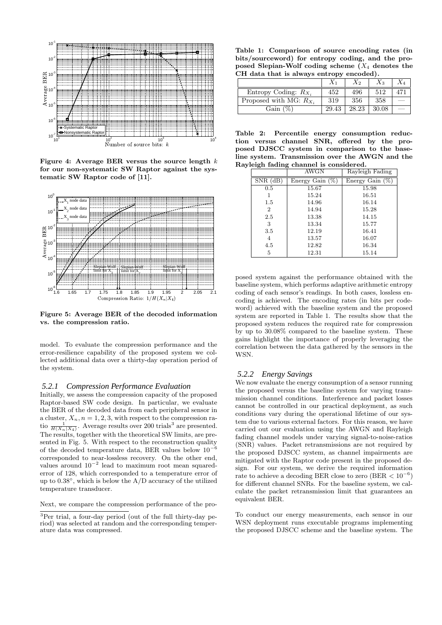

Figure 4: Average BER versus the source length  $k$ for our non-systematic SW Raptor against the systematic SW Raptor code of [11].



Figure 5: Average BER of the decoded information vs. the compression ratio.

model. To evaluate the compression performance and the error-resilience capability of the proposed system we collected additional data over a thirty-day operation period of the system.

#### *5.2.1 Compression Performance Evaluation*

Initially, we assess the compression capacity of the proposed Raptor-based SW code design. In particular, we evaluate the BER of the decoded data from each peripheral sensor in a cluster,  $X_n$ ,  $n = 1, 2, 3$ , with respect to the compression ratio  $\frac{1}{H(X_n|X_4)}$ . Average results over 200 trials<sup>3</sup> are presented. The results, together with the theoretical SW limits, are presented in Fig. 5. With respect to the reconstruction quality of the decoded temperature data, BER values below  $10^{-6}$ corresponded to near-lossless recovery. On the other end, values around  $10^{-2}$  lead to maximum root mean squarederror of 128, which corresponded to a temperature error of up to  $0.38^\circ$ , which is below the A/D accuracy of the utilized temperature transducer.

Next, we compare the compression performance of the pro-

Table 1: Comparison of source encoding rates (in bits/sourceword) for entropy coding, and the proposed Slepian-Wolf coding scheme  $(X_4$  denotes the CH data that is always entropy encoded).

|                             |       | $X_2$ | $X_3$ |  |
|-----------------------------|-------|-------|-------|--|
| Entropy Coding: $R_{X_i}$   | 452   | 496   | 512   |  |
| Proposed with MG: $R_{X_i}$ | 319   | 356   | 358   |  |
| Gain $(\%)$                 | 29.43 | 28.23 | 30.08 |  |

Table 2: Percentile energy consumption reduction versus channel SNR, offered by the proposed DJSCC system in comparison to the baseline system. Transmission over the AWGN and the Rayleigh fading channel is considered.

|                | AWGN               | Rayleigh Fading |
|----------------|--------------------|-----------------|
| $SNR$ (dB)     | Energy Gain $(\%)$ | Energy Gain     |
| 0.5            | 15.67              | 15.98           |
|                | 15.24              | 16.51           |
| $1.5\,$        | 14.96              | 16.14           |
| $\overline{2}$ | 14.94              | 15.28           |
| 2.5            | 13.38              | 14.15           |
| 3              | 13.34              | 15.77           |
| 3.5            | 12.19              | 16.41           |
| 4              | 13.57              | 16.07           |
| 4.5            | 12.82              | 16.34           |
| 5              | 12.31              | 15.14           |

posed system against the performance obtained with the baseline system, which performs adaptive arithmetic entropy coding of each sensor's readings. In both cases, lossless encoding is achieved. The encoding rates (in bits per codeword) achieved with the baseline system and the proposed system are reported in Table 1. The results show that the proposed system reduces the required rate for compression by up to 30.08% compared to the baseline system. These gains highlight the importance of properly leveraging the correlation between the data gathered by the sensors in the WSN.

#### *5.2.2 Energy Savings*

We now evaluate the energy consumption of a sensor running the proposed versus the baseline system for varying transmission channel conditions. Interference and packet losses cannot be controlled in our practical deployment, as such conditions vary during the operational lifetime of our system due to various external factors. For this reason, we have carried out our evaluation using the AWGN and Rayleigh fading channel models under varying signal-to-noise-ratios (SNR) values. Packet retransmissions are not required by the proposed DJSCC system, as channel impairments are mitigated with the Raptor code present in the proposed design. For our system, we derive the required information rate to achieve a decoding BER close to zero (BER  $< 10^{-6}$ ) for different channel SNRs. For the baseline system, we calculate the packet retransmission limit that guarantees an equivalent BER.

To conduct our energy measurements, each sensor in our WSN deployment runs executable programs implementing the proposed DJSCC scheme and the baseline system. The

<sup>3</sup>Per trial, a four-day period (out of the full thirty-day period) was selected at random and the corresponding temperature data was compressed.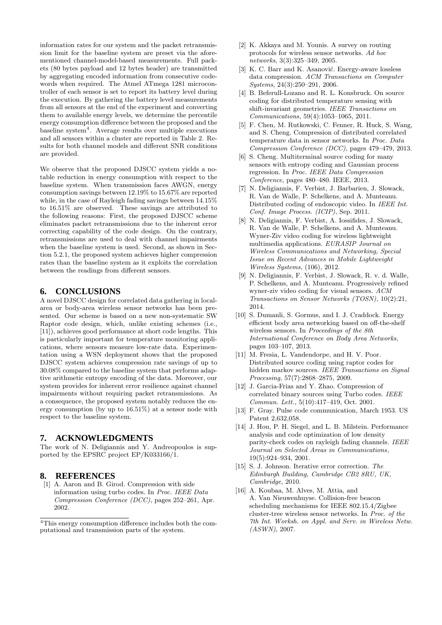information rates for our system and the packet retransmission limit for the baseline system are preset via the aforementioned channel-model-based measurements. Full packets (80 bytes payload and 12 bytes header) are transmitted by aggregating encoded information from consecutive codewords when required. The Atmel ATmega 1281 microcontroller of each sensor is set to report its battery level during the execution. By gathering the battery level measurements from all sensors at the end of the experiment and converting them to available energy levels, we determine the percentile energy consumption difference between the proposed and the  $baseline$  system<sup>4</sup>. Average results over multiple executions and all sensors within a cluster are reported in Table 2. Results for both channel models and different SNR conditions are provided.

We observe that the proposed DJSCC system yields a notable reduction in energy consumption with respect to the baseline system. When transmission faces AWGN, energy consumption savings between 12.19% to 15.67% are reported while, in the case of Rayleigh fading savings between 14.15% to 16.51% are observed. These savings are attributed to the following reasons: First, the proposed DJSCC scheme eliminates packet retransmissions due to the inherent error correcting capability of the code design. On the contrary, retransmissions are used to deal with channel impairments when the baseline system is used. Second, as shown in Section 5.2.1, the proposed system achieves higher compression rates than the baseline system as it exploits the correlation between the readings from different sensors.

#### **6. CONCLUSIONS**

A novel DJSCC design for correlated data gathering in localarea or body-area wireless sensor networks has been presented. Our scheme is based on a new non-systematic SW Raptor code design, which, unlike existing schemes (i.e., [11]), achieves good performance at short code lengths. This is particularly important for temperature monitoring applications, where sensors measure low-rate data. Experimentation using a WSN deployment shows that the proposed DJSCC system achieves compression rate savings of up to 30.08% compared to the baseline system that performs adaptive arithmetic entropy encoding of the data. Moreover, our system provides for inherent error resilience against channel impairments without requiring packet retransmissions. As a consequence, the proposed system notably reduces the energy consumption (by up to 16.51%) at a sensor node with respect to the baseline system.

#### **7. ACKNOWLEDGMENTS**

The work of N. Deligiannis and Y. Andreopoulos is supported by the EPSRC project EP/K033166/1.

### **8. REFERENCES**

[1] A. Aaron and B. Girod. Compression with side information using turbo codes. In Proc. IEEE Data Compression Conference (DCC), pages 252–261, Apr. 2002.

- [2] K. Akkaya and M. Younis. A survey on routing protocols for wireless sensor networks. Ad hoc networks, 3(3):325–349, 2005.
- [3] K. C. Barr and K. Asanović. Energy-aware lossless data compression. ACM Transactions on Computer Systems, 24(3):250–291, 2006.
- [4] B. Beferull-Lozano and R. L. Konsbruck. On source coding for distributed temperature sensing with shift-invariant geometries. IEEE Transactions on Communications, 59(4):1053–1065, 2011.
- [5] F. Chen, M. Rutkowski, C. Fenner, R. Huck, S. Wang, and S. Cheng. Compression of distributed correlated temperature data in sensor networks. In Proc. Data Compression Conference (DCC), pages 479–479, 2013.
- [6] S. Cheng. Multiterminal source coding for many sensors with entropy coding and Gaussian process regression. In Proc. IEEE Data Compression Conference, pages 480–480. IEEE, 2013.
- [7] N. Deligiannis, F. Verbist, J. Barbarien, J. Slowack, R. Van de Walle, P. Schelkens, and A. Munteanu. Distributed coding of endoscopic video. In IEEE Int. Conf. Image Process. (ICIP), Sep. 2011.
- [8] N. Deligiannis, F. Verbist, A. Iossifides, J. Slowack, R. Van de Walle, P. Schelkens, and A. Munteanu. Wyner-Ziv video coding for wireless lightweight multimedia applications. EURASIP Journal on Wireless Communications and Networking, Special Issue on Recent Advances in Mobile Lightweight Wireless Systems, (106), 2012.
- [9] N. Deligiannis, F. Verbist, J. Slowack, R. v. d. Walle, P. Schelkens, and A. Munteanu. Progressively refined wyner-ziv video coding for visual sensors. ACM Transactions on Sensor Networks (TOSN), 10(2):21, 2014.
- [10] S. Dumanli, S. Gormus, and I. J. Craddock. Energy efficient body area networking based on off-the-shelf wireless sensors. In Proceedings of the 8th International Conference on Body Area Networks, pages 103–107, 2013.
- [11] M. Fresia, L. Vandendorpe, and H. V. Poor. Distributed source coding using raptor codes for hidden markov sources. IEEE Transactions on Signal Processing, 57(7):2868–2875, 2009.
- [12] J. Garcia-Frias and Y. Zhao. Compression of correlated binary sources using Turbo codes. IEEE Commun. Lett., 5(10):417–419, Oct. 2001.
- [13] F. Gray. Pulse code communication, March 1953. US Patent 2,632,058.
- [14] J. Hou, P. H. Siegel, and L. B. Milstein. Performance analysis and code optimization of low density parity-check codes on rayleigh fading channels. IEEE Journal on Selected Areas in Communications, 19(5):924–934, 2001.
- [15] S. J. Johnson. Iterative error correction. The Edinburgh Building, Cambridge CB2 8RU, UK, Cambridge, 2010.
- [16] A. Koubaa, M. Alves, M. Attia, and A. Van Nieuwenhuyse. Collision-free beacon scheduling mechanisms for IEEE 802.15.4/Zigbee cluster-tree wireless sensor networks. In Proc. of the 7th Int. Worksh. on Appl. and Serv. in Wireless Netw. (ASWN), 2007.

<sup>4</sup>This energy consumption difference includes both the computational and transmission parts of the system.